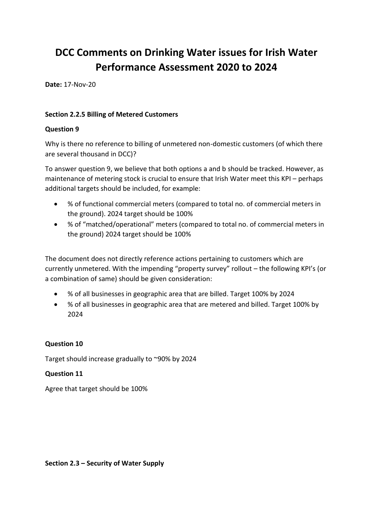# **DCC Comments on Drinking Water issues for Irish Water Performance Assessment 2020 to 2024**

**Date:** 17-Nov-20

## **Section 2.2.5 Billing of Metered Customers**

### **Question 9**

Why is there no reference to billing of unmetered non-domestic customers (of which there are several thousand in DCC)?

To answer question 9, we believe that both options a and b should be tracked. However, as maintenance of metering stock is crucial to ensure that Irish Water meet this KPI – perhaps additional targets should be included, for example:

- % of functional commercial meters (compared to total no. of commercial meters in the ground). 2024 target should be 100%
- % of "matched/operational" meters (compared to total no. of commercial meters in the ground) 2024 target should be 100%

The document does not directly reference actions pertaining to customers which are currently unmetered. With the impending "property survey" rollout – the following KPI's (or a combination of same) should be given consideration:

- % of all businesses in geographic area that are billed. Target 100% by 2024
- % of all businesses in geographic area that are metered and billed. Target 100% by 2024

## **Question 10**

Target should increase gradually to ~90% by 2024

## **Question 11**

Agree that target should be 100%

#### **Section 2.3 – Security of Water Supply**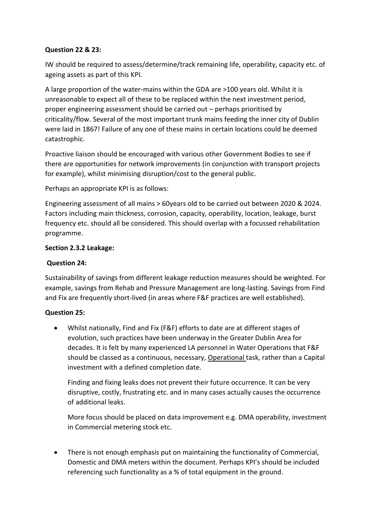## **Question 22 & 23:**

IW should be required to assess/determine/track remaining life, operability, capacity etc. of ageing assets as part of this KPI.

A large proportion of the water-mains within the GDA are >100 years old. Whilst it is unreasonable to expect all of these to be replaced within the next investment period, proper engineering assessment should be carried out – perhaps prioritised by criticality/flow. Several of the most important trunk mains feeding the inner city of Dublin were laid in 1867! Failure of any one of these mains in certain locations could be deemed catastrophic.

Proactive liaison should be encouraged with various other Government Bodies to see if there are opportunities for network improvements (in conjunction with transport projects for example), whilst minimising disruption/cost to the general public.

Perhaps an appropriate KPI is as follows:

Engineering assessment of all mains > 60years old to be carried out between 2020 & 2024. Factors including main thickness, corrosion, capacity, operability, location, leakage, burst frequency etc. should all be considered. This should overlap with a focussed rehabilitation programme.

## **Section 2.3.2 Leakage:**

## **Question 24:**

Sustainability of savings from different leakage reduction measures should be weighted. For example, savings from Rehab and Pressure Management are long-lasting. Savings from Find and Fix are frequently short-lived (in areas where F&F practices are well established).

## **Question 25:**

• Whilst nationally, Find and Fix (F&F) efforts to date are at different stages of evolution, such practices have been underway in the Greater Dublin Area for decades. It is felt by many experienced LA personnel in Water Operations that F&F should be classed as a continuous, necessary, Operational task, rather than a Capital investment with a defined completion date.

Finding and fixing leaks does not prevent their future occurrence. It can be very disruptive, costly, frustrating etc. and in many cases actually causes the occurrence of additional leaks.

More focus should be placed on data improvement e.g. DMA operability, investment in Commercial metering stock etc.

• There is not enough emphasis put on maintaining the functionality of Commercial, Domestic and DMA meters within the document. Perhaps KPI's should be included referencing such functionality as a % of total equipment in the ground.